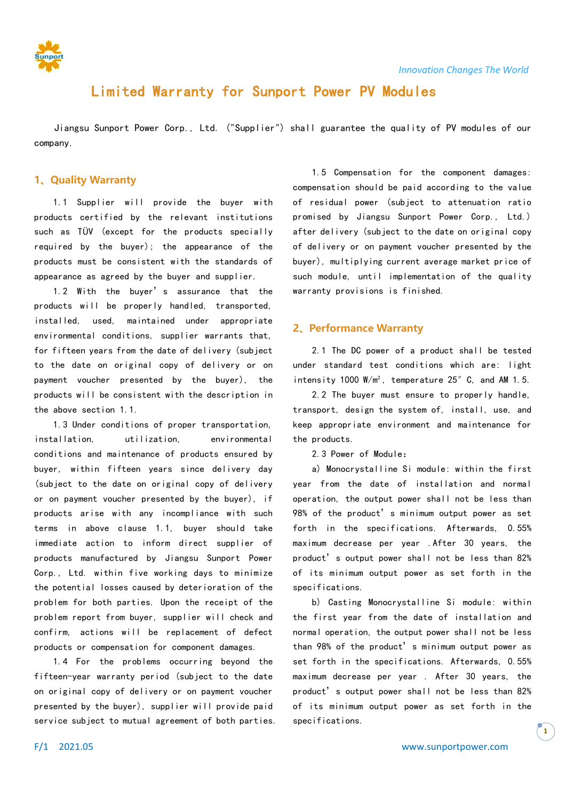

# Limited Warranty for Sunport Power PV Modules

Jiangsu Sunport Power Corp., Ltd. ("Supplier") shall guarantee the quality of PV modules of our company.

# **1、Quality Warranty**

1.1 Supplier will provide the buyer with products certified by the relevant institutions such as TÜV (except for the products specially required by the buyer); the appearance of the products must be consistent with the standards of appearance as agreed by the buyer and supplier.

1.2 With the buyer's assurance that the products will be properly handled, transported, installed, used, maintained under appropriate environmental conditions, supplier warrants that, for fifteen years from the date of delivery (subject to the date on original copy of delivery or on payment voucher presented by the buyer), the products will be consistent with the description in the above section 1.1.

1.3 Under conditions of proper transportation, installation, utilization, environmental conditions and maintenance of products ensured by buyer, within fifteen years since delivery day (subject to the date on original copy of delivery or on payment voucher presented by the buyer), if products arise with any incompliance with such terms in above clause 1.1, buyer should take immediate action to inform direct supplier of products manufactured by Jiangsu Sunport Power Corp., Ltd. within five working days to minimize the potential losses caused by deterioration of the problem for both parties. Upon the receipt of the problem report from buyer, supplier will check and confirm, actions will be replacement of defect products or compensation for component damages.

1.4 For the problems occurring beyond the fifteen-year warranty period (subject to the date on original copy of delivery or on payment voucher presented by the buyer), supplier will provide paid service subject to mutual agreement of both parties.

1.5 Compensation for the component damages: compensation should be paid according to the value of residual power (subject to attenuation ratio promised by Jiangsu Sunport Power Corp., Ltd.) after delivery (subject to the date on original copy of delivery or on payment voucher presented by the buyer), multiplying current average market price of such module, until implementation of the quality warranty provisions is finished.

# **2、Performance Warranty**

2.1 The DC power of a product shall be tested under standard test conditions which are: light intensity 1000 W/m², temperature 25°C, and AM 1.5.

2.2 The buyer must ensure to properly handle, transport, design the system of, install, use, and keep appropriate environment and maintenance for the products.

2.3 Power of Module:

a) Monocrystalline Si module: within the first year from the date of installation and normal operation, the output power shall not be less than 98% of the product's minimum output power as set forth in the specifications. Afterwards, 0.55% maximum decrease per year .After 30 years, the product's output power shall not be less than 82% of its minimum output power as set forth in the specifications.

b) Casting Monocrystalline Si module: within the first year from the date of installation and normal operation, the output power shall not be less than 98% of the product's minimum output power as set forth in the specifications. Afterwards, 0.55% maximum decrease per year . After 30 years, the product's output power shall not be less than 82% of its minimum output power as set forth in the specifications.

**1**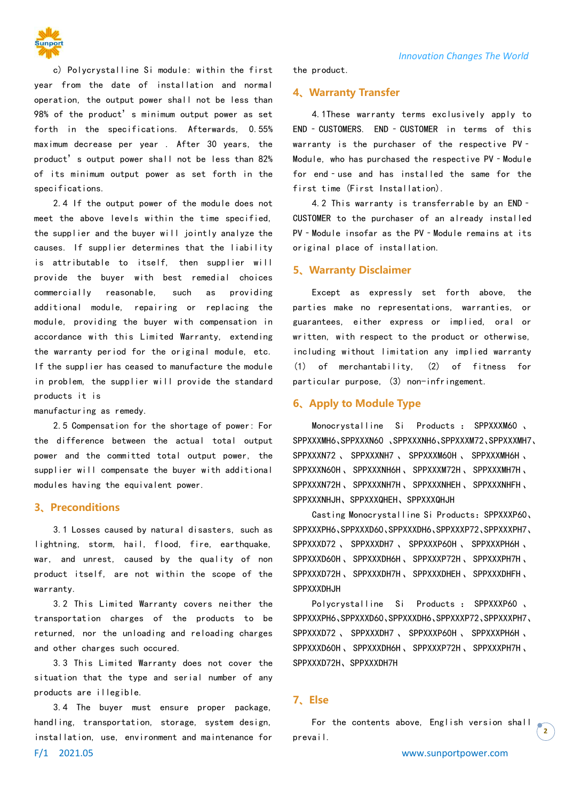

c) Polycrystalline Si module: within the first year from the date of installation and normal operation, the output power shall not be less than 98% of the product's minimum output power as set forth in the specifications. Afterwards, 0.55% maximum decrease per year . After 30 years, the product's output power shall not be less than 82% of its minimum output power as set forth in the specifications.

2.4 If the output power of the module does not meet the above levels within the time specified, the supplier and the buyer will jointly analyze the causes. If supplier determines that the liability is attributable to itself, then supplier will provide the buyer with best remedial choices commercially reasonable, such as providing additional module, repairing or replacing the module, providing the buyer with compensation in accordance with this Limited Warranty, extending the warranty period for the original module, etc. If the supplier has ceased to manufacture the module in problem, the supplier will provide the standard products it is

manufacturing as remedy.

2.5 Compensation for the shortage of power: For the difference between the actual total output power and the committed total output power, the supplier will compensate the buyer with additional modules having the equivalent power.

#### **3、Preconditions**

3.1 Losses caused by natural disasters, such as lightning, storm, hail, flood, fire, earthquake, war, and unrest, caused by the quality of non product itself, are not within the scope of the warranty.

3.2 This Limited Warranty covers neither the transportation charges of the products to be returned, nor the unloading and reloading charges and other charges such occured.

3.3 This Limited Warranty does not cover the situation that the type and serial number of any products are illegible.

F/1 2021.05 www.sunportpower.com 3.4 The buyer must ensure proper package, handling, transportation, storage, system design, installation, use, environment and maintenance for

the product.

#### **4、Warranty Transfer**

4.1These warranty terms exclusively apply to END - CUSTOMERS. END - CUSTOMER in terms of this warranty is the purchaser of the respective PV -Module, who has purchased the respective PV - Module for end-use and has installed the same for the first time (First Installation).

4.2 This warranty is transferrable by an END‐ CUSTOMER to the purchaser of an already installed PV - Module insofar as the PV - Module remains at its original place of installation.

#### **5、Warranty Disclaimer**

Except as expressly set forth above, the parties make no representations, warranties, or guarantees, either express or implied, oral or written, with respect to the product or otherwise, including without limitation any implied warranty (1) of merchantability, (2) of fitness for particular purpose, (3) non-infringement.

# **6、Apply to Module Type**

Monocrystalline Si Products : SPPXXXM60 、 SPPXXXMH6、SPPXXXN60 、SPPXXXNH6、SPPXXXM72、SPPXXXMH7、 SPPXXXN72 、 SPPXXXNH7 、 SPPXXXM60H 、 SPPXXXMH6H 、 SPPXXXN60H、SPPXXXNH6H、SPPXXXM72H、SPPXXXMH7H、 SPPXXXN72H、SPPXXXNH7H、SPPXXXNHEH、SPPXXXNHFH、 SPPXXXNHJH、SPPXXXQHEH、SPPXXXQHJH

Casting Monocrystalline Si Products: SPPXXXP60、 SPPXXXPH6、SPPXXXD60、SPPXXXDH6、SPPXXXP72、SPPXXXPH7、 SPPXXXD72 、 SPPXXXDH7 、 SPPXXXP60H 、 SPPXXXPH6H 、 SPPXXXD60H、SPPXXXDH6H、SPPXXXP72H、SPPXXXPH7H、 SPPXXXD72H、SPPXXXDH7H、SPPXXXDHEH、SPPXXXDHFH、 SPPXXXDHJH

Polycrystalline Si Products : SPPXXXP60 、 SPPXXXPH6、SPPXXXD60、SPPXXXDH6、SPPXXXP72、SPPXXXPH7、 SPPXXXD72 、 SPPXXXDH7 、 SPPXXXP60H 、 SPPXXXPH6H 、 SPPXXXD60H、SPPXXXDH6H、SPPXXXP72H、SPPXXXPH7H、 SPPXXXD72H、SPPXXXDH7H

# **7、Else**

For the contents above, English version shall prevail.

**2**